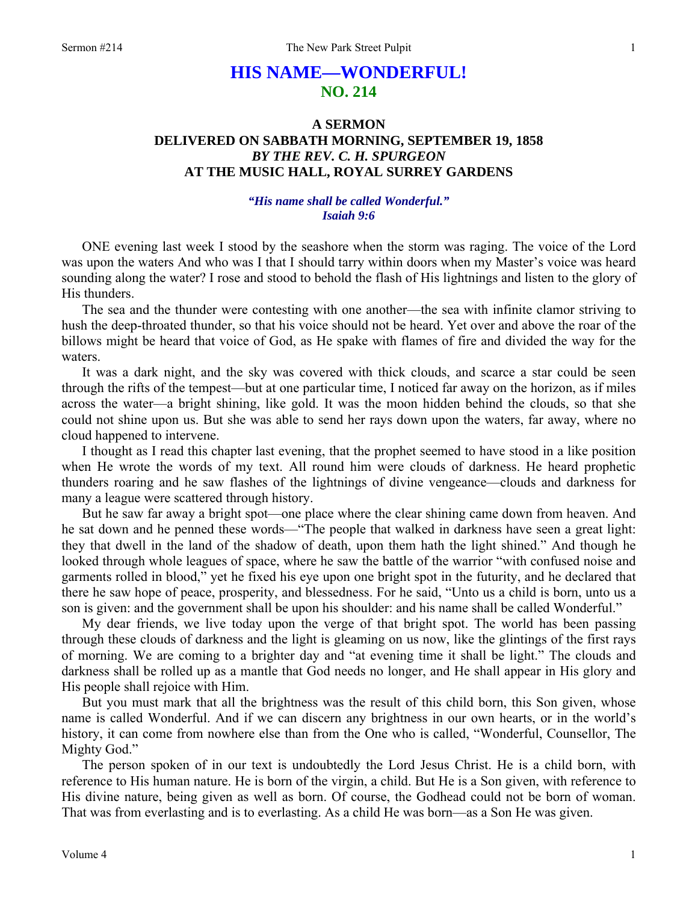# **HIS NAME—WONDERFUL! NO. 214**

## **A SERMON DELIVERED ON SABBATH MORNING, SEPTEMBER 19, 1858**  *BY THE REV. C. H. SPURGEON*  **AT THE MUSIC HALL, ROYAL SURREY GARDENS**

#### *"His name shall be called Wonderful." Isaiah 9:6*

ONE evening last week I stood by the seashore when the storm was raging. The voice of the Lord was upon the waters And who was I that I should tarry within doors when my Master's voice was heard sounding along the water? I rose and stood to behold the flash of His lightnings and listen to the glory of His thunders.

The sea and the thunder were contesting with one another—the sea with infinite clamor striving to hush the deep-throated thunder, so that his voice should not be heard. Yet over and above the roar of the billows might be heard that voice of God, as He spake with flames of fire and divided the way for the waters.

It was a dark night, and the sky was covered with thick clouds, and scarce a star could be seen through the rifts of the tempest—but at one particular time, I noticed far away on the horizon, as if miles across the water—a bright shining, like gold. It was the moon hidden behind the clouds, so that she could not shine upon us. But she was able to send her rays down upon the waters, far away, where no cloud happened to intervene.

I thought as I read this chapter last evening, that the prophet seemed to have stood in a like position when He wrote the words of my text. All round him were clouds of darkness. He heard prophetic thunders roaring and he saw flashes of the lightnings of divine vengeance—clouds and darkness for many a league were scattered through history.

But he saw far away a bright spot—one place where the clear shining came down from heaven. And he sat down and he penned these words—"The people that walked in darkness have seen a great light: they that dwell in the land of the shadow of death, upon them hath the light shined." And though he looked through whole leagues of space, where he saw the battle of the warrior "with confused noise and garments rolled in blood," yet he fixed his eye upon one bright spot in the futurity, and he declared that there he saw hope of peace, prosperity, and blessedness. For he said, "Unto us a child is born, unto us a son is given: and the government shall be upon his shoulder: and his name shall be called Wonderful."

My dear friends, we live today upon the verge of that bright spot. The world has been passing through these clouds of darkness and the light is gleaming on us now, like the glintings of the first rays of morning. We are coming to a brighter day and "at evening time it shall be light." The clouds and darkness shall be rolled up as a mantle that God needs no longer, and He shall appear in His glory and His people shall rejoice with Him.

But you must mark that all the brightness was the result of this child born, this Son given, whose name is called Wonderful. And if we can discern any brightness in our own hearts, or in the world's history, it can come from nowhere else than from the One who is called, "Wonderful, Counsellor, The Mighty God."

The person spoken of in our text is undoubtedly the Lord Jesus Christ. He is a child born, with reference to His human nature. He is born of the virgin, a child. But He is a Son given, with reference to His divine nature, being given as well as born. Of course, the Godhead could not be born of woman. That was from everlasting and is to everlasting. As a child He was born—as a Son He was given.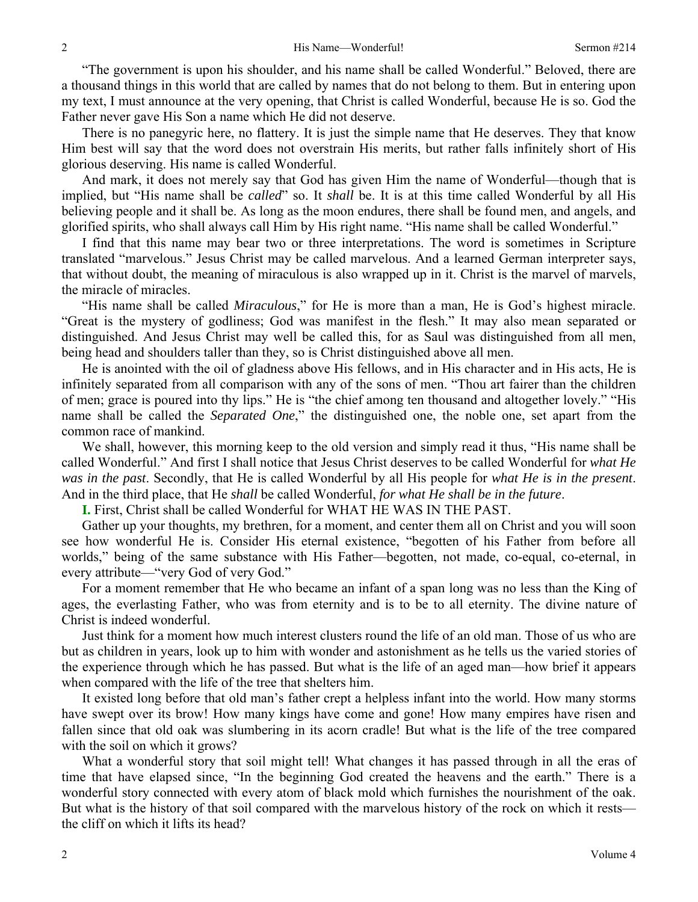"The government is upon his shoulder, and his name shall be called Wonderful." Beloved, there are a thousand things in this world that are called by names that do not belong to them. But in entering upon my text, I must announce at the very opening, that Christ is called Wonderful, because He is so. God the Father never gave His Son a name which He did not deserve.

There is no panegyric here, no flattery. It is just the simple name that He deserves. They that know Him best will say that the word does not overstrain His merits, but rather falls infinitely short of His glorious deserving. His name is called Wonderful.

And mark, it does not merely say that God has given Him the name of Wonderful—though that is implied, but "His name shall be *called*" so. It *shall* be. It is at this time called Wonderful by all His believing people and it shall be. As long as the moon endures, there shall be found men, and angels, and glorified spirits, who shall always call Him by His right name. "His name shall be called Wonderful."

I find that this name may bear two or three interpretations. The word is sometimes in Scripture translated "marvelous." Jesus Christ may be called marvelous. And a learned German interpreter says, that without doubt, the meaning of miraculous is also wrapped up in it. Christ is the marvel of marvels, the miracle of miracles.

"His name shall be called *Miraculous*," for He is more than a man, He is God's highest miracle. "Great is the mystery of godliness; God was manifest in the flesh." It may also mean separated or distinguished. And Jesus Christ may well be called this, for as Saul was distinguished from all men, being head and shoulders taller than they, so is Christ distinguished above all men.

He is anointed with the oil of gladness above His fellows, and in His character and in His acts, He is infinitely separated from all comparison with any of the sons of men. "Thou art fairer than the children of men; grace is poured into thy lips." He is "the chief among ten thousand and altogether lovely." "His name shall be called the *Separated One*," the distinguished one, the noble one, set apart from the common race of mankind.

We shall, however, this morning keep to the old version and simply read it thus, "His name shall be called Wonderful." And first I shall notice that Jesus Christ deserves to be called Wonderful for *what He was in the past*. Secondly, that He is called Wonderful by all His people for *what He is in the present*. And in the third place, that He *shall* be called Wonderful, *for what He shall be in the future*.

**I.** First, Christ shall be called Wonderful for WHAT HE WAS IN THE PAST.

Gather up your thoughts, my brethren, for a moment, and center them all on Christ and you will soon see how wonderful He is. Consider His eternal existence, "begotten of his Father from before all worlds," being of the same substance with His Father—begotten, not made, co-equal, co-eternal, in every attribute—"very God of very God."

For a moment remember that He who became an infant of a span long was no less than the King of ages, the everlasting Father, who was from eternity and is to be to all eternity. The divine nature of Christ is indeed wonderful.

Just think for a moment how much interest clusters round the life of an old man. Those of us who are but as children in years, look up to him with wonder and astonishment as he tells us the varied stories of the experience through which he has passed. But what is the life of an aged man—how brief it appears when compared with the life of the tree that shelters him.

It existed long before that old man's father crept a helpless infant into the world. How many storms have swept over its brow! How many kings have come and gone! How many empires have risen and fallen since that old oak was slumbering in its acorn cradle! But what is the life of the tree compared with the soil on which it grows?

What a wonderful story that soil might tell! What changes it has passed through in all the eras of time that have elapsed since, "In the beginning God created the heavens and the earth." There is a wonderful story connected with every atom of black mold which furnishes the nourishment of the oak. But what is the history of that soil compared with the marvelous history of the rock on which it rests the cliff on which it lifts its head?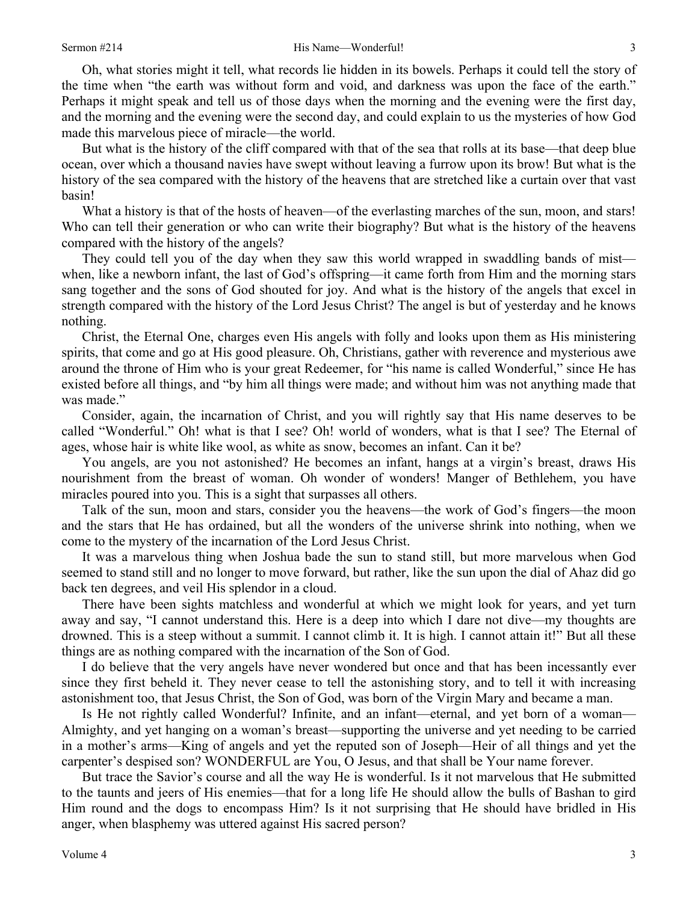Oh, what stories might it tell, what records lie hidden in its bowels. Perhaps it could tell the story of the time when "the earth was without form and void, and darkness was upon the face of the earth." Perhaps it might speak and tell us of those days when the morning and the evening were the first day, and the morning and the evening were the second day, and could explain to us the mysteries of how God made this marvelous piece of miracle—the world.

But what is the history of the cliff compared with that of the sea that rolls at its base—that deep blue ocean, over which a thousand navies have swept without leaving a furrow upon its brow! But what is the history of the sea compared with the history of the heavens that are stretched like a curtain over that vast basin!

What a history is that of the hosts of heaven—of the everlasting marches of the sun, moon, and stars! Who can tell their generation or who can write their biography? But what is the history of the heavens compared with the history of the angels?

They could tell you of the day when they saw this world wrapped in swaddling bands of mist when, like a newborn infant, the last of God's offspring—it came forth from Him and the morning stars sang together and the sons of God shouted for joy. And what is the history of the angels that excel in strength compared with the history of the Lord Jesus Christ? The angel is but of yesterday and he knows nothing.

Christ, the Eternal One, charges even His angels with folly and looks upon them as His ministering spirits, that come and go at His good pleasure. Oh, Christians, gather with reverence and mysterious awe around the throne of Him who is your great Redeemer, for "his name is called Wonderful," since He has existed before all things, and "by him all things were made; and without him was not anything made that was made."

Consider, again, the incarnation of Christ, and you will rightly say that His name deserves to be called "Wonderful." Oh! what is that I see? Oh! world of wonders, what is that I see? The Eternal of ages, whose hair is white like wool, as white as snow, becomes an infant. Can it be?

You angels, are you not astonished? He becomes an infant, hangs at a virgin's breast, draws His nourishment from the breast of woman. Oh wonder of wonders! Manger of Bethlehem, you have miracles poured into you. This is a sight that surpasses all others.

Talk of the sun, moon and stars, consider you the heavens—the work of God's fingers—the moon and the stars that He has ordained, but all the wonders of the universe shrink into nothing, when we come to the mystery of the incarnation of the Lord Jesus Christ.

It was a marvelous thing when Joshua bade the sun to stand still, but more marvelous when God seemed to stand still and no longer to move forward, but rather, like the sun upon the dial of Ahaz did go back ten degrees, and veil His splendor in a cloud.

There have been sights matchless and wonderful at which we might look for years, and yet turn away and say, "I cannot understand this. Here is a deep into which I dare not dive—my thoughts are drowned. This is a steep without a summit. I cannot climb it. It is high. I cannot attain it!" But all these things are as nothing compared with the incarnation of the Son of God.

I do believe that the very angels have never wondered but once and that has been incessantly ever since they first beheld it. They never cease to tell the astonishing story, and to tell it with increasing astonishment too, that Jesus Christ, the Son of God, was born of the Virgin Mary and became a man.

Is He not rightly called Wonderful? Infinite, and an infant—eternal, and yet born of a woman— Almighty, and yet hanging on a woman's breast—supporting the universe and yet needing to be carried in a mother's arms—King of angels and yet the reputed son of Joseph—Heir of all things and yet the carpenter's despised son? WONDERFUL are You, O Jesus, and that shall be Your name forever.

But trace the Savior's course and all the way He is wonderful. Is it not marvelous that He submitted to the taunts and jeers of His enemies—that for a long life He should allow the bulls of Bashan to gird Him round and the dogs to encompass Him? Is it not surprising that He should have bridled in His anger, when blasphemy was uttered against His sacred person?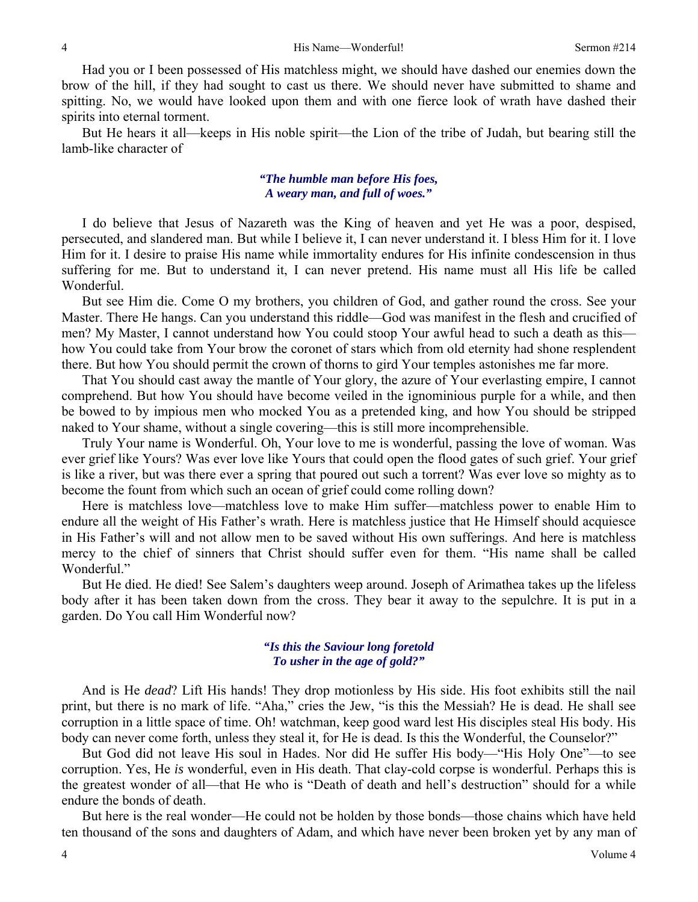Had you or I been possessed of His matchless might, we should have dashed our enemies down the brow of the hill, if they had sought to cast us there. We should never have submitted to shame and spitting. No, we would have looked upon them and with one fierce look of wrath have dashed their spirits into eternal torment.

But He hears it all—keeps in His noble spirit—the Lion of the tribe of Judah, but bearing still the lamb-like character of

#### *"The humble man before His foes, A weary man, and full of woes."*

I do believe that Jesus of Nazareth was the King of heaven and yet He was a poor, despised, persecuted, and slandered man. But while I believe it, I can never understand it. I bless Him for it. I love Him for it. I desire to praise His name while immortality endures for His infinite condescension in thus suffering for me. But to understand it, I can never pretend. His name must all His life be called Wonderful.

But see Him die. Come O my brothers, you children of God, and gather round the cross. See your Master. There He hangs. Can you understand this riddle—God was manifest in the flesh and crucified of men? My Master, I cannot understand how You could stoop Your awful head to such a death as this how You could take from Your brow the coronet of stars which from old eternity had shone resplendent there. But how You should permit the crown of thorns to gird Your temples astonishes me far more.

That You should cast away the mantle of Your glory, the azure of Your everlasting empire, I cannot comprehend. But how You should have become veiled in the ignominious purple for a while, and then be bowed to by impious men who mocked You as a pretended king, and how You should be stripped naked to Your shame, without a single covering—this is still more incomprehensible.

Truly Your name is Wonderful. Oh, Your love to me is wonderful, passing the love of woman. Was ever grief like Yours? Was ever love like Yours that could open the flood gates of such grief. Your grief is like a river, but was there ever a spring that poured out such a torrent? Was ever love so mighty as to become the fount from which such an ocean of grief could come rolling down?

Here is matchless love—matchless love to make Him suffer—matchless power to enable Him to endure all the weight of His Father's wrath. Here is matchless justice that He Himself should acquiesce in His Father's will and not allow men to be saved without His own sufferings. And here is matchless mercy to the chief of sinners that Christ should suffer even for them. "His name shall be called Wonderful."

But He died. He died! See Salem's daughters weep around. Joseph of Arimathea takes up the lifeless body after it has been taken down from the cross. They bear it away to the sepulchre. It is put in a garden. Do You call Him Wonderful now?

### *"Is this the Saviour long foretold To usher in the age of gold?"*

And is He *dead*? Lift His hands! They drop motionless by His side. His foot exhibits still the nail print, but there is no mark of life. "Aha," cries the Jew, "is this the Messiah? He is dead. He shall see corruption in a little space of time. Oh! watchman, keep good ward lest His disciples steal His body. His body can never come forth, unless they steal it, for He is dead. Is this the Wonderful, the Counselor?"

But God did not leave His soul in Hades. Nor did He suffer His body—"His Holy One"—to see corruption. Yes, He *is* wonderful, even in His death. That clay-cold corpse is wonderful. Perhaps this is the greatest wonder of all—that He who is "Death of death and hell's destruction" should for a while endure the bonds of death.

But here is the real wonder—He could not be holden by those bonds—those chains which have held ten thousand of the sons and daughters of Adam, and which have never been broken yet by any man of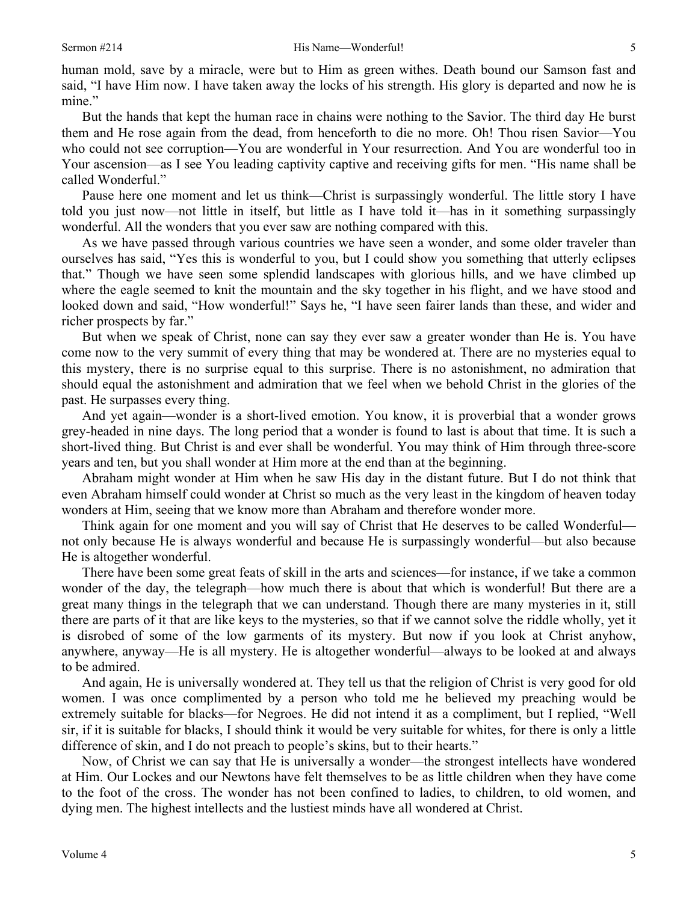human mold, save by a miracle, were but to Him as green withes. Death bound our Samson fast and said, "I have Him now. I have taken away the locks of his strength. His glory is departed and now he is mine."

But the hands that kept the human race in chains were nothing to the Savior. The third day He burst them and He rose again from the dead, from henceforth to die no more. Oh! Thou risen Savior—You who could not see corruption—You are wonderful in Your resurrection. And You are wonderful too in Your ascension—as I see You leading captivity captive and receiving gifts for men. "His name shall be called Wonderful."

Pause here one moment and let us think—Christ is surpassingly wonderful. The little story I have told you just now—not little in itself, but little as I have told it—has in it something surpassingly wonderful. All the wonders that you ever saw are nothing compared with this.

As we have passed through various countries we have seen a wonder, and some older traveler than ourselves has said, "Yes this is wonderful to you, but I could show you something that utterly eclipses that." Though we have seen some splendid landscapes with glorious hills, and we have climbed up where the eagle seemed to knit the mountain and the sky together in his flight, and we have stood and looked down and said, "How wonderful!" Says he, "I have seen fairer lands than these, and wider and richer prospects by far."

But when we speak of Christ, none can say they ever saw a greater wonder than He is. You have come now to the very summit of every thing that may be wondered at. There are no mysteries equal to this mystery, there is no surprise equal to this surprise. There is no astonishment, no admiration that should equal the astonishment and admiration that we feel when we behold Christ in the glories of the past. He surpasses every thing.

And yet again—wonder is a short-lived emotion. You know, it is proverbial that a wonder grows grey-headed in nine days. The long period that a wonder is found to last is about that time. It is such a short-lived thing. But Christ is and ever shall be wonderful. You may think of Him through three-score years and ten, but you shall wonder at Him more at the end than at the beginning.

Abraham might wonder at Him when he saw His day in the distant future. But I do not think that even Abraham himself could wonder at Christ so much as the very least in the kingdom of heaven today wonders at Him, seeing that we know more than Abraham and therefore wonder more.

Think again for one moment and you will say of Christ that He deserves to be called Wonderful not only because He is always wonderful and because He is surpassingly wonderful—but also because He is altogether wonderful.

There have been some great feats of skill in the arts and sciences—for instance, if we take a common wonder of the day, the telegraph—how much there is about that which is wonderful! But there are a great many things in the telegraph that we can understand. Though there are many mysteries in it, still there are parts of it that are like keys to the mysteries, so that if we cannot solve the riddle wholly, yet it is disrobed of some of the low garments of its mystery. But now if you look at Christ anyhow, anywhere, anyway—He is all mystery. He is altogether wonderful—always to be looked at and always to be admired.

And again, He is universally wondered at. They tell us that the religion of Christ is very good for old women. I was once complimented by a person who told me he believed my preaching would be extremely suitable for blacks—for Negroes. He did not intend it as a compliment, but I replied, "Well sir, if it is suitable for blacks, I should think it would be very suitable for whites, for there is only a little difference of skin, and I do not preach to people's skins, but to their hearts."

Now, of Christ we can say that He is universally a wonder—the strongest intellects have wondered at Him. Our Lockes and our Newtons have felt themselves to be as little children when they have come to the foot of the cross. The wonder has not been confined to ladies, to children, to old women, and dying men. The highest intellects and the lustiest minds have all wondered at Christ.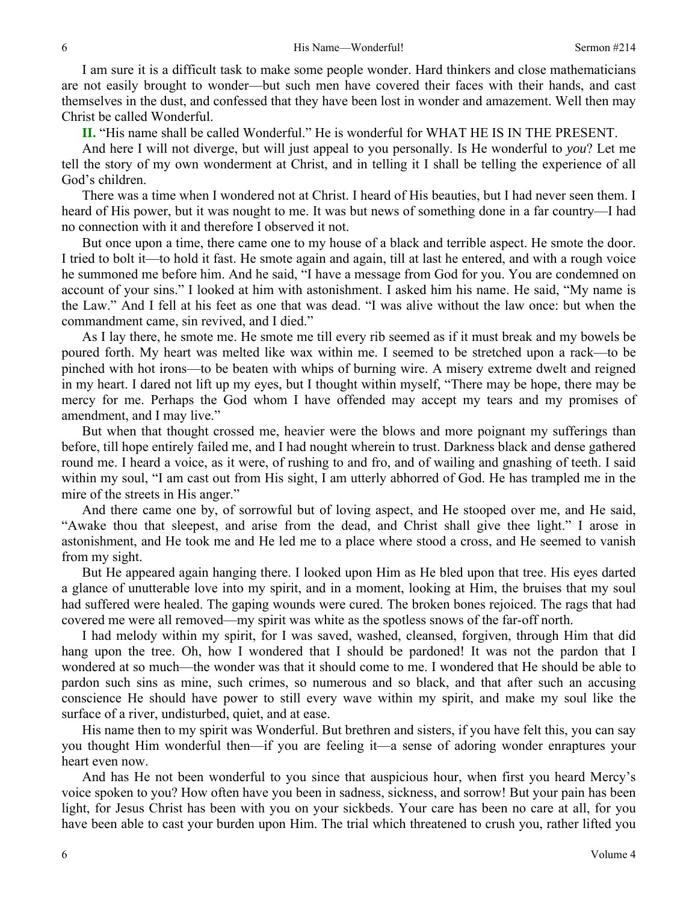I am sure it is a difficult task to make some people wonder. Hard thinkers and close mathematicians are not easily brought to wonder—but such men have covered their faces with their hands, and cast themselves in the dust, and confessed that they have been lost in wonder and amazement. Well then may Christ be called Wonderful.

**II.** "His name shall be called Wonderful." He is wonderful for WHAT HE IS IN THE PRESENT.

And here I will not diverge, but will just appeal to you personally. Is He wonderful to *you*? Let me tell the story of my own wonderment at Christ, and in telling it I shall be telling the experience of all God's children.

There was a time when I wondered not at Christ. I heard of His beauties, but I had never seen them. I heard of His power, but it was nought to me. It was but news of something done in a far country—I had no connection with it and therefore I observed it not.

But once upon a time, there came one to my house of a black and terrible aspect. He smote the door. I tried to bolt it—to hold it fast. He smote again and again, till at last he entered, and with a rough voice he summoned me before him. And he said, "I have a message from God for you. You are condemned on account of your sins." I looked at him with astonishment. I asked him his name. He said, "My name is the Law." And I fell at his feet as one that was dead. "I was alive without the law once: but when the commandment came, sin revived, and I died."

As I lay there, he smote me. He smote me till every rib seemed as if it must break and my bowels be poured forth. My heart was melted like wax within me. I seemed to be stretched upon a rack—to be pinched with hot irons—to be beaten with whips of burning wire. A misery extreme dwelt and reigned in my heart. I dared not lift up my eyes, but I thought within myself, "There may be hope, there may be mercy for me. Perhaps the God whom I have offended may accept my tears and my promises of amendment, and I may live."

But when that thought crossed me, heavier were the blows and more poignant my sufferings than before, till hope entirely failed me, and I had nought wherein to trust. Darkness black and dense gathered round me. I heard a voice, as it were, of rushing to and fro, and of wailing and gnashing of teeth. I said within my soul, "I am cast out from His sight, I am utterly abhorred of God. He has trampled me in the mire of the streets in His anger."

And there came one by, of sorrowful but of loving aspect, and He stooped over me, and He said, "Awake thou that sleepest, and arise from the dead, and Christ shall give thee light." I arose in astonishment, and He took me and He led me to a place where stood a cross, and He seemed to vanish from my sight.

But He appeared again hanging there. I looked upon Him as He bled upon that tree. His eyes darted a glance of unutterable love into my spirit, and in a moment, looking at Him, the bruises that my soul had suffered were healed. The gaping wounds were cured. The broken bones rejoiced. The rags that had covered me were all removed—my spirit was white as the spotless snows of the far-off north.

I had melody within my spirit, for I was saved, washed, cleansed, forgiven, through Him that did hang upon the tree. Oh, how I wondered that I should be pardoned! It was not the pardon that I wondered at so much—the wonder was that it should come to me. I wondered that He should be able to pardon such sins as mine, such crimes, so numerous and so black, and that after such an accusing conscience He should have power to still every wave within my spirit, and make my soul like the surface of a river, undisturbed, quiet, and at ease.

His name then to my spirit was Wonderful. But brethren and sisters, if you have felt this, you can say you thought Him wonderful then—if you are feeling it—a sense of adoring wonder enraptures your heart even now.

And has He not been wonderful to you since that auspicious hour, when first you heard Mercy's voice spoken to you? How often have you been in sadness, sickness, and sorrow! But your pain has been light, for Jesus Christ has been with you on your sickbeds. Your care has been no care at all, for you have been able to cast your burden upon Him. The trial which threatened to crush you, rather lifted you

6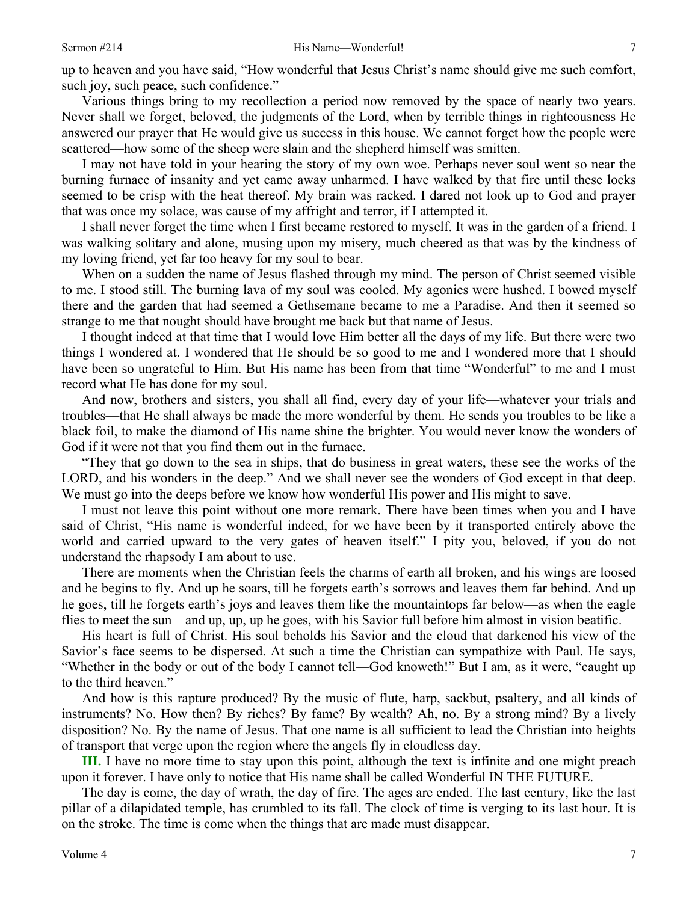Various things bring to my recollection a period now removed by the space of nearly two years. Never shall we forget, beloved, the judgments of the Lord, when by terrible things in righteousness He answered our prayer that He would give us success in this house. We cannot forget how the people were scattered—how some of the sheep were slain and the shepherd himself was smitten.

I may not have told in your hearing the story of my own woe. Perhaps never soul went so near the burning furnace of insanity and yet came away unharmed. I have walked by that fire until these locks seemed to be crisp with the heat thereof. My brain was racked. I dared not look up to God and prayer that was once my solace, was cause of my affright and terror, if I attempted it.

I shall never forget the time when I first became restored to myself. It was in the garden of a friend. I was walking solitary and alone, musing upon my misery, much cheered as that was by the kindness of my loving friend, yet far too heavy for my soul to bear.

When on a sudden the name of Jesus flashed through my mind. The person of Christ seemed visible to me. I stood still. The burning lava of my soul was cooled. My agonies were hushed. I bowed myself there and the garden that had seemed a Gethsemane became to me a Paradise. And then it seemed so strange to me that nought should have brought me back but that name of Jesus.

I thought indeed at that time that I would love Him better all the days of my life. But there were two things I wondered at. I wondered that He should be so good to me and I wondered more that I should have been so ungrateful to Him. But His name has been from that time "Wonderful" to me and I must record what He has done for my soul.

And now, brothers and sisters, you shall all find, every day of your life—whatever your trials and troubles—that He shall always be made the more wonderful by them. He sends you troubles to be like a black foil, to make the diamond of His name shine the brighter. You would never know the wonders of God if it were not that you find them out in the furnace.

"They that go down to the sea in ships, that do business in great waters, these see the works of the LORD, and his wonders in the deep." And we shall never see the wonders of God except in that deep. We must go into the deeps before we know how wonderful His power and His might to save.

I must not leave this point without one more remark. There have been times when you and I have said of Christ, "His name is wonderful indeed, for we have been by it transported entirely above the world and carried upward to the very gates of heaven itself." I pity you, beloved, if you do not understand the rhapsody I am about to use.

There are moments when the Christian feels the charms of earth all broken, and his wings are loosed and he begins to fly. And up he soars, till he forgets earth's sorrows and leaves them far behind. And up he goes, till he forgets earth's joys and leaves them like the mountaintops far below—as when the eagle flies to meet the sun—and up, up, up he goes, with his Savior full before him almost in vision beatific.

His heart is full of Christ. His soul beholds his Savior and the cloud that darkened his view of the Savior's face seems to be dispersed. At such a time the Christian can sympathize with Paul. He says, "Whether in the body or out of the body I cannot tell—God knoweth!" But I am, as it were, "caught up to the third heaven."

And how is this rapture produced? By the music of flute, harp, sackbut, psaltery, and all kinds of instruments? No. How then? By riches? By fame? By wealth? Ah, no. By a strong mind? By a lively disposition? No. By the name of Jesus. That one name is all sufficient to lead the Christian into heights of transport that verge upon the region where the angels fly in cloudless day.

**III.** I have no more time to stay upon this point, although the text is infinite and one might preach upon it forever. I have only to notice that His name shall be called Wonderful IN THE FUTURE.

The day is come, the day of wrath, the day of fire. The ages are ended. The last century, like the last pillar of a dilapidated temple, has crumbled to its fall. The clock of time is verging to its last hour. It is on the stroke. The time is come when the things that are made must disappear.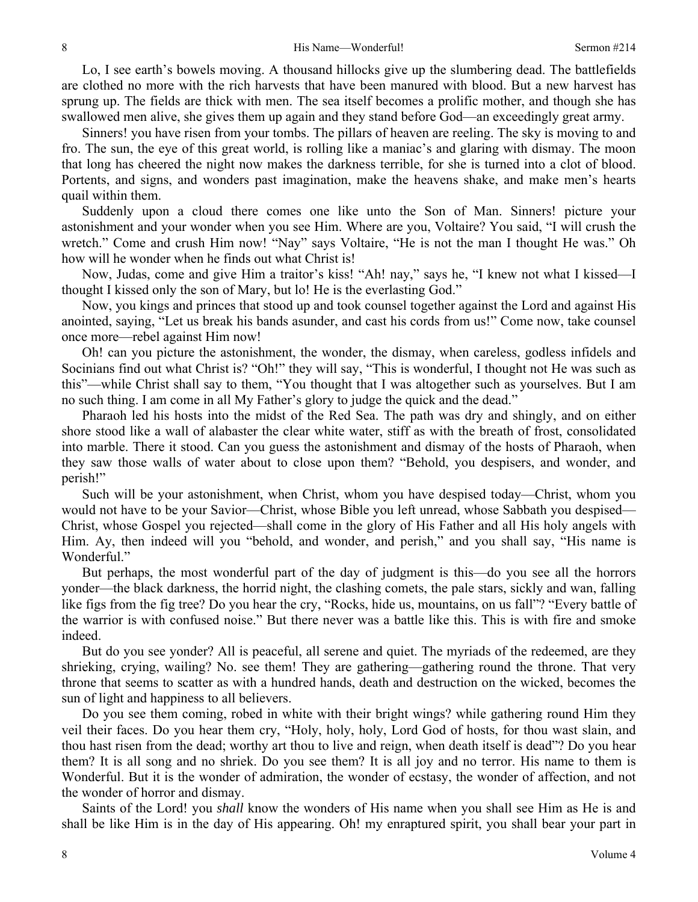Lo, I see earth's bowels moving. A thousand hillocks give up the slumbering dead. The battlefields are clothed no more with the rich harvests that have been manured with blood. But a new harvest has sprung up. The fields are thick with men. The sea itself becomes a prolific mother, and though she has swallowed men alive, she gives them up again and they stand before God—an exceedingly great army.

Sinners! you have risen from your tombs. The pillars of heaven are reeling. The sky is moving to and fro. The sun, the eye of this great world, is rolling like a maniac's and glaring with dismay. The moon that long has cheered the night now makes the darkness terrible, for she is turned into a clot of blood. Portents, and signs, and wonders past imagination, make the heavens shake, and make men's hearts quail within them.

Suddenly upon a cloud there comes one like unto the Son of Man. Sinners! picture your astonishment and your wonder when you see Him. Where are you, Voltaire? You said, "I will crush the wretch." Come and crush Him now! "Nay" says Voltaire, "He is not the man I thought He was." Oh how will he wonder when he finds out what Christ is!

Now, Judas, come and give Him a traitor's kiss! "Ah! nay," says he, "I knew not what I kissed—I thought I kissed only the son of Mary, but lo! He is the everlasting God."

Now, you kings and princes that stood up and took counsel together against the Lord and against His anointed, saying, "Let us break his bands asunder, and cast his cords from us!" Come now, take counsel once more—rebel against Him now!

Oh! can you picture the astonishment, the wonder, the dismay, when careless, godless infidels and Socinians find out what Christ is? "Oh!" they will say, "This is wonderful, I thought not He was such as this"—while Christ shall say to them, "You thought that I was altogether such as yourselves. But I am no such thing. I am come in all My Father's glory to judge the quick and the dead."

Pharaoh led his hosts into the midst of the Red Sea. The path was dry and shingly, and on either shore stood like a wall of alabaster the clear white water, stiff as with the breath of frost, consolidated into marble. There it stood. Can you guess the astonishment and dismay of the hosts of Pharaoh, when they saw those walls of water about to close upon them? "Behold, you despisers, and wonder, and perish!"

Such will be your astonishment, when Christ, whom you have despised today—Christ, whom you would not have to be your Savior—Christ, whose Bible you left unread, whose Sabbath you despised— Christ, whose Gospel you rejected—shall come in the glory of His Father and all His holy angels with Him. Ay, then indeed will you "behold, and wonder, and perish," and you shall say, "His name is Wonderful."

But perhaps, the most wonderful part of the day of judgment is this—do you see all the horrors yonder—the black darkness, the horrid night, the clashing comets, the pale stars, sickly and wan, falling like figs from the fig tree? Do you hear the cry, "Rocks, hide us, mountains, on us fall"? "Every battle of the warrior is with confused noise." But there never was a battle like this. This is with fire and smoke indeed.

But do you see yonder? All is peaceful, all serene and quiet. The myriads of the redeemed, are they shrieking, crying, wailing? No. see them! They are gathering—gathering round the throne. That very throne that seems to scatter as with a hundred hands, death and destruction on the wicked, becomes the sun of light and happiness to all believers.

Do you see them coming, robed in white with their bright wings? while gathering round Him they veil their faces. Do you hear them cry, "Holy, holy, holy, Lord God of hosts, for thou wast slain, and thou hast risen from the dead; worthy art thou to live and reign, when death itself is dead"? Do you hear them? It is all song and no shriek. Do you see them? It is all joy and no terror. His name to them is Wonderful. But it is the wonder of admiration, the wonder of ecstasy, the wonder of affection, and not the wonder of horror and dismay.

Saints of the Lord! you *shall* know the wonders of His name when you shall see Him as He is and shall be like Him is in the day of His appearing. Oh! my enraptured spirit, you shall bear your part in

8